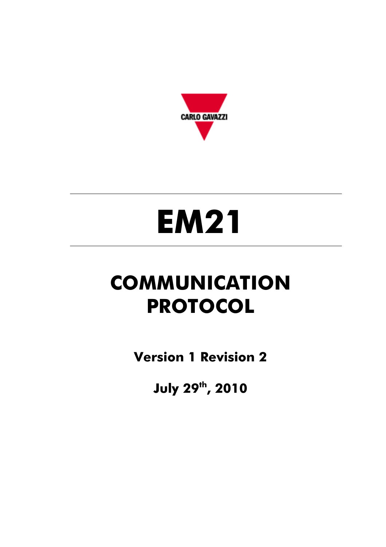

# **EM21**

# **COMMUNICATION PROTOCOL**

**Version 1 Revision 2** 

**July 29th, 2010**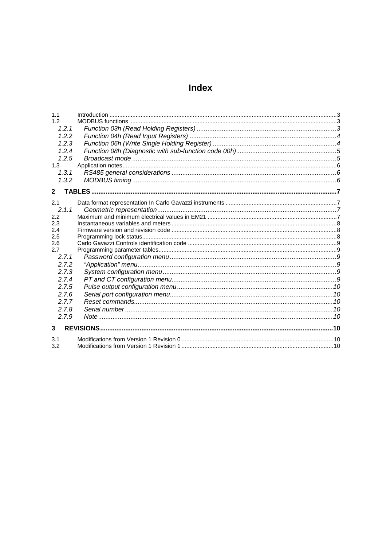# **Index**

| 1.1          |  |
|--------------|--|
| 1.2          |  |
| 1.2.1        |  |
| 1.2.2        |  |
| 1.2.3        |  |
| 1.2.4        |  |
| 1.2.5        |  |
| 1.3          |  |
| 1.3.1        |  |
| 1.3.2        |  |
| $\mathbf{2}$ |  |
|              |  |
| 2.1          |  |
| 2.1.1        |  |
| 2.2          |  |
| 2.3<br>2.4   |  |
| 2.5          |  |
| 2.6          |  |
| 2.7          |  |
| 2.7.1        |  |
| 2.7.2        |  |
| 2.7.3        |  |
| 2.7.4        |  |
| 2.7.5        |  |
| 2.7.6        |  |
| 2.7.7        |  |
| 2.7.8        |  |
| 2.7.9        |  |
|              |  |
| $\mathbf{3}$ |  |
| 3.1          |  |
| 3.2          |  |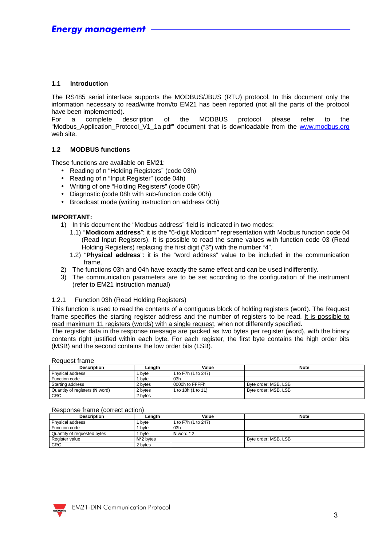#### **1.1 Introduction**

The RS485 serial interface supports the MODBUS/JBUS (RTU) protocol. In this document only the information necessary to read/write from/to EM21 has been reported (not all the parts of the protocol have been implemented).

For a complete description of the MODBUS protocol please refer to the "Modbus\_Application\_Protocol\_V1\_1a.pdf" document that is downloadable from the www.modbus.org web site.

#### **1.2 MODBUS functions**

These functions are available on EM21:

- Reading of n "Holding Registers" (code 03h)
- Reading of n "Input Register" (code 04h)
- Writing of one "Holding Registers" (code 06h)
- Diagnostic (code 08h with sub-function code 00h)
- Broadcast mode (writing instruction on address 00h)

#### **IMPORTANT:**

- 1) In this document the "Modbus address" field is indicated in two modes:
	- 1.1) "**Modicom address**": it is the "6-digit Modicom" representation with Modbus function code 04 (Read Input Registers). It is possible to read the same values with function code 03 (Read Holding Registers) replacing the first digit ("3") with the number "4".
	- 1.2) "**Physical address**": it is the "word address" value to be included in the communication frame.
- 2) The functions 03h and 04h have exactly the same effect and can be used indifferently.
- 3) The communication parameters are to be set according to the configuration of the instrument (refer to EM21 instruction manual)

#### 1.2.1 Function 03h (Read Holding Registers)

This function is used to read the contents of a contiguous block of holding registers (word). The Request frame specifies the starting register address and the number of registers to be read. It is possible to read maximum 11 registers (words) with a single request, when not differently specified.

The register data in the response message are packed as two bytes per register (word), with the binary contents right justified within each byte. For each register, the first byte contains the high order bits (MSB) and the second contains the low order bits (LSB).

Request frame

| <b>Description</b>             | Lenath  | Value               | <b>Note</b>          |  |
|--------------------------------|---------|---------------------|----------------------|--|
| Physical address               | byte    | 1 to F7h (1 to 247) |                      |  |
| Function code                  | byte    | 03h                 |                      |  |
| Starting address               | 2 bvtes | 0000h to FFFFh      | Byte order: MSB, LSB |  |
| Quantity of registers (N word) | 2 bytes | 1 to 10h (1 to 11)  | Byte order: MSB, LSB |  |
| <b>CRC</b>                     | 2 bytes |                     |                      |  |

#### Response frame (correct action)

| <b>Description</b>          | Lenath        | Value               | <b>Note</b>          |
|-----------------------------|---------------|---------------------|----------------------|
| Physical address            | byte          | 1 to F7h (1 to 247) |                      |
| Function code               | byte          | 03h                 |                      |
| Quantity of requested bytes | byte          | N word $*$ 2        |                      |
| Register value              | $N^*$ 2 bytes |                     | Byte order: MSB, LSB |
| <b>CRC</b>                  | 2 bvtes       |                     |                      |

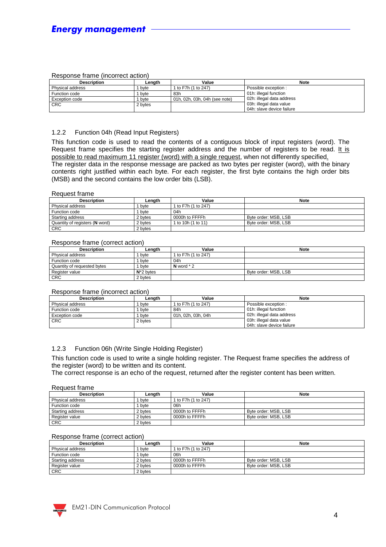#### Response frame (incorrect action)

| <b>Description</b>   | Lenath  | Value                         | <b>Note</b>               |  |
|----------------------|---------|-------------------------------|---------------------------|--|
| Physical address     | byte    | 1 to F7h (1 to 247)           | Possible exception :      |  |
| <b>Function code</b> | byte    | 83h                           | 01h: illegal function     |  |
| Exception code       | byte    | 01h, 02h, 03h, 04h (see note) | 02h: illegal data address |  |
| <b>CRC</b>           | 2 bytes |                               | 03h: illegal data value   |  |
|                      |         |                               | 04h: slave device failure |  |

#### 1.2.2 Function 04h (Read Input Registers)

This function code is used to read the contents of a contiguous block of input registers (word). The Request frame specifies the starting register address and the number of registers to be read. It is possible to read maximum 11 register (word) with a single request, when not differently specified. The register data in the response message are packed as two bytes per register (word), with the binary contents right justified within each byte. For each register, the first byte contains the high order bits (MSB) and the second contains the low order bits (LSB).

#### Request frame

| <b>Description</b>             | Lenath  | Value               | <b>Note</b>          |
|--------------------------------|---------|---------------------|----------------------|
| Physical address               | byte    | 1 to F7h (1 to 247) |                      |
| Function code                  | byte    | 04h                 |                      |
| Starting address               | 2 bytes | 0000h to FFFFh      | Byte order: MSB, LSB |
| Quantity of registers (N word) | 2 bytes | 1 to 10h (1 to 11)  | Byte order: MSB, LSB |
| <b>CRC</b>                     | 2 bytes |                     |                      |

#### Response frame (correct action)

| <b>Description</b>          |  | Lenath        | Value               | <b>Note</b>          |
|-----------------------------|--|---------------|---------------------|----------------------|
| Physical address            |  | byte          | 1 to F7h (1 to 247) |                      |
| Function code               |  | byte          | 04h                 |                      |
| Quantity of requested bytes |  | byte          | $N$ word $*$ 2      |                      |
| Register value              |  | $N^*$ 2 bytes |                     | Byte order: MSB, LSB |
| <b>CRC</b>                  |  | 2 bytes       |                     |                      |

#### Response frame (incorrect action)

| <b>Description</b> | Lenath  | Value               | <b>Note</b>               |
|--------------------|---------|---------------------|---------------------------|
| Physical address   | byte    | 1 to F7h (1 to 247) | Possible exception :      |
| Function code      | byte    | 84h                 | 01h: illegal function     |
| Exception code     | byte    | 01h. 02h. 03h. 04h  | 02h: illegal data address |
| <b>CRC</b>         | 2 bytes |                     | 03h: illegal data value   |
|                    |         |                     | 04h: slave device failure |

#### 1.2.3 Function 06h (Write Single Holding Register)

This function code is used to write a single holding register. The Request frame specifies the address of the register (word) to be written and its content.

The correct response is an echo of the request, returned after the register content has been written.

#### Request frame

| Description      | Lenath  | Value               | <b>Note</b>          |
|------------------|---------|---------------------|----------------------|
| Physical address | byte    | 1 to F7h (1 to 247) |                      |
| Function code    | byte    | 06h                 |                      |
| Starting address | 2 bytes | 0000h to FFFFh      | Byte order: MSB, LSB |
| Register value   | 2 bytes | 0000h to FFFFh      | Byte order: MSB, LSB |
| <b>CRC</b>       | 2 bytes |                     |                      |

#### Response frame (correct action)

| <b>Description</b> | Lenath  | Value               | <b>Note</b>          |
|--------------------|---------|---------------------|----------------------|
| Physical address   | bvte    | 1 to F7h (1 to 247) |                      |
| Function code      | bvte    | 06h                 |                      |
| Starting address   | 2 bytes | 0000h to FFFFh      | Byte order: MSB, LSB |
| Register value     | 2 bvtes | 0000h to FFFFh      | Byte order: MSB, LSB |
| <b>CRC</b>         | 2 bytes |                     |                      |

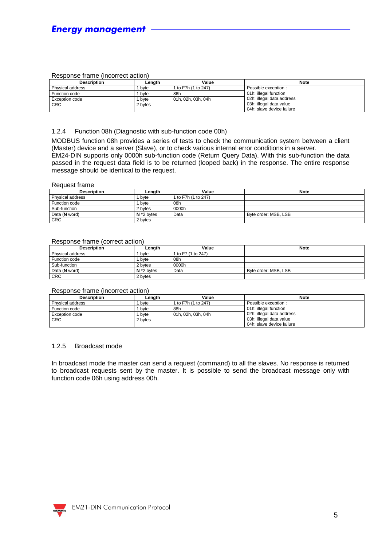#### Response frame (incorrect action)

| Description           | Lenath  | Value               | <b>Note</b>               |
|-----------------------|---------|---------------------|---------------------------|
| Physical address      | byte    | 1 to F7h (1 to 247) | Possible exception :      |
| Function code         | byte    | 86h                 | 01h: illegal function     |
| <b>Exception code</b> | byte    | 01h. 02h. 03h. 04h  | 02h: illegal data address |
| <b>CRC</b>            | 2 bytes |                     | 03h: illegal data value   |
|                       |         |                     | 04h: slave device failure |

#### 1.2.4 Function 08h (Diagnostic with sub-function code 00h)

MODBUS function 08h provides a series of tests to check the communication system between a client (Master) device and a server (Slave), or to check various internal error conditions in a server. EM24-DIN supports only 0000h sub-function code (Return Query Data). With this sub-function the data passed in the request data field is to be returned (looped back) in the response. The entire response message should be identical to the request.

#### Request frame

| <b>Description</b> | Length        | Value               | <b>Note</b>          |
|--------------------|---------------|---------------------|----------------------|
| Physical address   | byte          | 1 to F7h (1 to 247) |                      |
| Function code      | byte          | 08h                 |                      |
| Sub-function       | 2 bytes       | 0000h               |                      |
| Data (N word)      | $N^*$ 2 bytes | Data                | Byte order: MSB, LSB |
| <b>CRC</b>         | 2 bytes       |                     |                      |

#### Response frame (correct action)

| <b>Description</b> | Length        | Value              | <b>Note</b>          |
|--------------------|---------------|--------------------|----------------------|
| Physical address   | byte          | 1 to F7 (1 to 247) |                      |
| Function code      | byte          | 08h                |                      |
| Sub-function       | 2 bytes       | 0000h              |                      |
| Data (N word)      | $N^*$ 2 bytes | Data               | Byte order: MSB, LSB |
| <b>CRC</b>         | 2 bytes       |                    |                      |

#### Response frame (incorrect action)

| <b>Description</b>    | Lenath  | Value                | <b>Note</b>               |  |  |  |  |
|-----------------------|---------|----------------------|---------------------------|--|--|--|--|
| Physical address      | byte    | 1 to F7h (1 to 247)  | Possible exception :      |  |  |  |  |
| Function code         | byte    | 88h                  | 01h: illegal function     |  |  |  |  |
| <b>Exception code</b> | bvte    | l 01h. 02h. 03h. 04h | 02h: illegal data address |  |  |  |  |
| <b>CRC</b>            | 2 bytes |                      | 03h: illegal data value   |  |  |  |  |
|                       |         |                      | 04h: slave device failure |  |  |  |  |

#### 1.2.5 Broadcast mode

In broadcast mode the master can send a request (command) to all the slaves. No response is returned to broadcast requests sent by the master. It is possible to send the broadcast message only with function code 06h using address 00h.

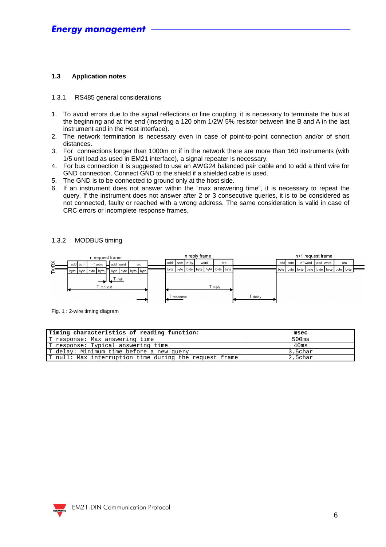#### **1.3 Application notes**

#### 1.3.1 RS485 general considerations

- 1. To avoid errors due to the signal reflections or line coupling, it is necessary to terminate the bus at the beginning and at the end (inserting a 120 ohm 1/2W 5% resistor between line B and A in the last instrument and in the Host interface).
- 2. The network termination is necessary even in case of point-to-point connection and/or of short distances.
- 3. For connections longer than 1000m or if in the network there are more than 160 instruments (with 1/5 unit load as used in EM21 interface), a signal repeater is necessary.
- 4. For bus connection it is suggested to use an AWG24 balanced pair cable and to add a third wire for GND connection. Connect GND to the shield if a shielded cable is used.
- 5. The GND is to be connected to ground only at the host side.
- 6. If an instrument does not answer within the "max answering time", it is necessary to repeat the query. If the instrument does not answer after 2 or 3 consecutive queries, it is to be considered as not connected, faulty or reached with a wrong address. The same consideration is valid in case of CRC errors or incomplete response frames.

#### 1.3.2 MODBUS timing



Fig. 1 : 2-wire timing diagram

| Timing characteristics of reading function:            | msec    |
|--------------------------------------------------------|---------|
| T response: Max answering time                         | 500ms   |
| T response: Typical answering time                     | 40ms    |
| T delay: Minimum time before a new query               | 3,5char |
| T null: Max interruption time during the request frame | 2,5char |

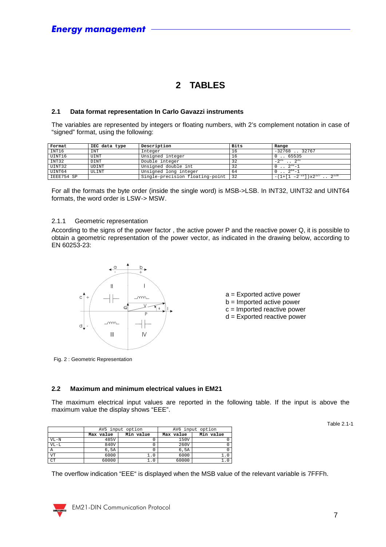## **2 TABLES**

#### **2.1 Data format representation In Carlo Gavazzi instruments**

The variables are represented by integers or floating numbers, with 2's complement notation in case of "signed" format, using the following:

| Format     | IEC data type | Description                     | Bits | Range                                          |
|------------|---------------|---------------------------------|------|------------------------------------------------|
| INT16      | INT           | Integer                         | 16   | $-32768$ . 32767                               |
| UINT16     | UINT          | Unsigned integer                | 16   | . . 65535                                      |
| INT32      | <b>DINT</b>   | Double integer                  | 32   | $\sim$ 3.1<br>$-2^{31}$                        |
| UINT32     | UDINT         | Unsigned double int             | 32   | $2^{32} - 1$                                   |
| UINT64     | ULINT         | Unsigned long integer           | 64   | $2^{64}$                                       |
| IEEE754 SP |               | Single-precision floating-point | 32   | $-(1+[1 -2^{-23}]) \times 2^{127}$ . $2^{128}$ |

For all the formats the byte order (inside the single word) is MSB->LSB. In INT32, UINT32 and UINT64 formats, the word order is LSW-> MSW.

#### 2.1.1 Geometric representation

According to the signs of the power factor , the active power P and the reactive power Q, it is possible to obtain a geometric representation of the power vector, as indicated in the drawing below, according to EN 60253-23:





Fig. 2 : Geometric Representation

#### **2.2 Maximum and minimum electrical values in EM21**

The maximum electrical input values are reported in the following table. If the input is above the maximum value the display shows "EEE".

|           |           | AV5 input option |           | AV6 input option |
|-----------|-----------|------------------|-----------|------------------|
|           | Max value | Min value        | Max value | Min value        |
| $VL-N$    | 485V      |                  | 150V      |                  |
| $VL-L$    | 840V      |                  | 260V      |                  |
| Α         | 6,5A      |                  | 6.5A      |                  |
| <b>VT</b> | 6000      | . 0              | 6000      |                  |
| <b>CT</b> | 60000     | . C              | 60000     |                  |

Table 2.1-1

The overflow indication "EEE" is displayed when the MSB value of the relevant variable is 7FFFh.

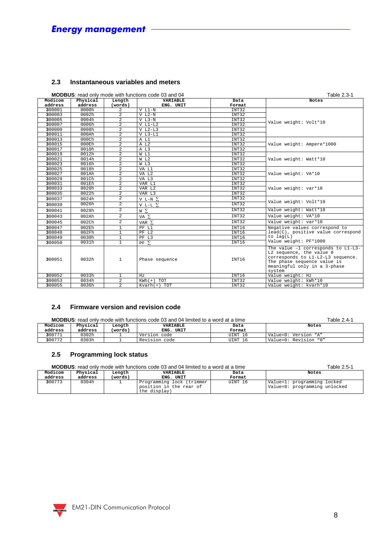#### **2.3 Instantaneous variables and meters**

|                    | <b>MODBUS:</b> read only mode with functions code 03 and 04 |                   | Table 2.3-1                  |                |                                                                                                                                                                              |
|--------------------|-------------------------------------------------------------|-------------------|------------------------------|----------------|------------------------------------------------------------------------------------------------------------------------------------------------------------------------------|
| Modicom<br>address | Physical<br>address                                         | Length<br>(words) | <b>VARIABLE</b><br>ENG. UNIT | Data<br>Format | Notes                                                                                                                                                                        |
| 300001             | 0000h                                                       | $\mathfrak{D}$    | $V L1-N$                     | <b>TNT32</b>   |                                                                                                                                                                              |
| 300003             | 0002h                                                       | $\overline{2}$    | $V L2-N$                     | INT32          |                                                                                                                                                                              |
| 300005             | 0004h                                                       | $\overline{a}$    | $V L3-N$                     | INT32          |                                                                                                                                                                              |
| 300007             | 0006h                                                       | $\overline{a}$    | $V L1-L2$                    | INT32          | Value weight: Volt*10                                                                                                                                                        |
| 300009             | 0008h                                                       | $\overline{a}$    | $V L2-L3$                    | INT32          |                                                                                                                                                                              |
| 300011             | 000Ah                                                       | $\overline{2}$    | $V L3-L1$                    | INT32          |                                                                                                                                                                              |
| 300013             | $000$ Ch                                                    | $\overline{2}$    | A L1                         | INT32          |                                                                                                                                                                              |
| 300015             | 000Eh                                                       | $\overline{a}$    | A L2                         | INT32          | Value weight: Ampere*1000                                                                                                                                                    |
| 300017             | 0010h                                                       | $\overline{a}$    | A L3                         | INT32          |                                                                                                                                                                              |
| 300019             | 0012h                                                       | $\overline{a}$    | W L1                         | INT32          |                                                                                                                                                                              |
| 300021             | 0014h                                                       | $\overline{2}$    | W L2                         | INT32          | Value weight: Watt*10                                                                                                                                                        |
| 300023             | 0016h                                                       | $\overline{2}$    | W L3                         | INT32          |                                                                                                                                                                              |
| 300025             | 0018h                                                       | $\overline{a}$    | VA L1                        | INT32          |                                                                                                                                                                              |
| 300027             | 001Ah                                                       | $\overline{a}$    | VA L2                        | INT32          | Value weight: VA*10                                                                                                                                                          |
| 300029             | 001Ch                                                       | $\overline{a}$    | VA L3                        | INT32          |                                                                                                                                                                              |
| 300031             | 001Eh                                                       | $\overline{2}$    | VAR L1                       | INT32          |                                                                                                                                                                              |
| 300033             | 0020h                                                       | $\overline{a}$    | VAR L2                       | INT32          | Value weight: var*10                                                                                                                                                         |
| 300035             | 0022h                                                       | $\overline{2}$    | VAR L3                       | INT32          |                                                                                                                                                                              |
| 300037             | 0024h                                                       | $\overline{2}$    | V L-N $\Sigma$               | INT32          | Value weight: Volt*10                                                                                                                                                        |
| 300039             | 0026h                                                       | $\overline{2}$    | V L-L $\Sigma$               | INT32          |                                                                                                                                                                              |
| 300041             | 0028h                                                       | $\overline{a}$    | WΣ                           | INT32          | Value weight: Watt*10                                                                                                                                                        |
| 300043             | 002Ah                                                       | $\overline{2}$    | VA $\Sigma$                  | INT32          | Value weight: VA*10                                                                                                                                                          |
| 300045             | 002Ch                                                       | $\overline{2}$    | VAR $\Sigma$                 | INT32          | Value weight: var*10                                                                                                                                                         |
| 300047             | 002Eh                                                       | $\mathbf{1}$      | PF L1                        | INT16          | Negative values correspond to                                                                                                                                                |
| 300048             | 002Fh                                                       | $\mathbf{1}$      | PF L2                        | INT16          | lead(C), positive value correspond                                                                                                                                           |
| 300049             | 0030h                                                       | 1                 | PF L3                        | INT16          | to $lag(L)$                                                                                                                                                                  |
| 300050             | 0031h                                                       | $\mathbf{1}$      | $PF$ $\Sigma$                | INT16          | Value weight: PF*1000                                                                                                                                                        |
| 300051             | 0032h                                                       | $\mathbf{1}$      | Phase sequence               | INT16          | The value -1 corresponds to L1-L3-<br>L2 sequence, the value 0<br>corresponds to L1-L2-L3 sequence.<br>The phase sequence value is<br>meaningful only in a 3-phase<br>system |
| 300052             | 0033h                                                       | 1                 | Hz                           | INT16          | Value weight: Hz                                                                                                                                                             |
| 300053             | 0034h                                                       | $\overline{2}$    | $KWh(+)$ TOT                 | INT32          | Value weight: kWh*10                                                                                                                                                         |
| 300055             | 0036h                                                       | $\overline{a}$    | $Kvanh(+)$ TOT               | INT32          | Value weight: kvarh*10                                                                                                                                                       |

#### **2.4 Firmware version and revision code**

|         | <b>MODBUS:</b> read only mode with functions code 03 and 04 limited to a word at a time | Table 2.4-1 |                 |         |                       |
|---------|-----------------------------------------------------------------------------------------|-------------|-----------------|---------|-----------------------|
| Modicom | Physical                                                                                | Length      | <b>VARIABLE</b> | Data    | Notes                 |
| address | address                                                                                 | (words)     | ENG. UNIT       | Format  |                       |
| 300771  | 0302h                                                                                   |             | Version code    | UINT 16 | Value=0: Version "A"  |
| 300772  | 0303h                                                                                   |             | Revision code   | UINT 16 | Value=0: Revision "0" |

#### **2.5 Programming lock status**

| <b>MODBUS:</b> read only mode with functions code 03 and 04 limited to a word at a time | able 2.5<br>$h -$ |
|-----------------------------------------------------------------------------------------|-------------------|
|                                                                                         |                   |

| Modicom | Physical | Lenath  | VARIABLE                                                             | Data    | Notes                                                        |
|---------|----------|---------|----------------------------------------------------------------------|---------|--------------------------------------------------------------|
| address | address  | (words) | UNIT<br>ENG.                                                         | Format  |                                                              |
| 300773  | 0304h    |         | Programming lock (trimmer<br>position in the rear of<br>the display) | UINT 16 | Value=1: programming locked<br>Value=0: programming unlocked |

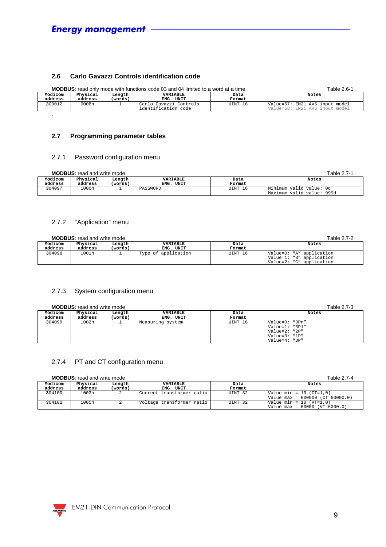#### **2.6 Carlo Gavazzi Controls identification code**

|         | <b>MODBUS:</b> read only mode with functions code 03 and 04 limited to a word at a time | Table 2.6-1 |                        |         |                                |
|---------|-----------------------------------------------------------------------------------------|-------------|------------------------|---------|--------------------------------|
| Modicom | Physical                                                                                | Lenath      | VARIABLE               | Data    | Notes                          |
| address | address                                                                                 | (words)     | ENG. UNIT              | Format  |                                |
| 300012  | 000Bh                                                                                   |             | Carlo Gavazzi Controls | UINT 16 | Value=57: EM21 AV5 input model |
|         |                                                                                         |             | identification code    |         | Value=58: EM21 AV6 input model |
|         |                                                                                         |             |                        |         |                                |

#### **2.7 Programming parameter tables**

#### 2.7.1 Password configuration menu

| <b>MODBUS:</b> read and write mode<br>Table 2.7-1 |                     |                   |                          |                |                                                      |  |  |
|---------------------------------------------------|---------------------|-------------------|--------------------------|----------------|------------------------------------------------------|--|--|
| Modicom<br>address                                | Physical<br>address | Length<br>(words) | VARIABLE<br>UNIT<br>ENG. | Data<br>Format | Notes                                                |  |  |
| 304097                                            | 1.000h              |                   | PASSWORD                 | UINT 16        | Minimum valid value: Od<br>Maximum valid value: 999d |  |  |

#### 2.7.2 "Application" menu

|                    | <b>MODBUS:</b> read and write mode | Table 2.7-2       |                       |                |                                                                                  |
|--------------------|------------------------------------|-------------------|-----------------------|----------------|----------------------------------------------------------------------------------|
| Modicom<br>address | Physical<br>address                | Length<br>(words) | VARIABLE<br>ENG. UNIT | Data<br>Format | Notes                                                                            |
| 304098             | 1001h                              |                   | Type of application   | UINT 16        | Value=0: "A" application<br>Value=1: "B" application<br>Value=2: "C" application |

#### 2.7.3 System configuration menu

**MODBUS:** read and write mode Table 2.7-3

| Modicom<br>address | Physical<br>address | Length<br>(words) | <b>VARIABLE</b><br>ENG. UNIT | Data<br>Format | Notes                                                                                         |
|--------------------|---------------------|-------------------|------------------------------|----------------|-----------------------------------------------------------------------------------------------|
| 304099             | 1002h               |                   | Measuring system             | UINT 16        | Value=0: "3Pn"<br>Value=1: "3P1"<br>Value= $2:$ " $2P''$<br>Value=3: "1P"<br>Value= $4:$ "3P" |

#### 2.7.4 PT and CT configuration menu

| <b>MODBUS:</b> read and write mode |  |  |  |
|------------------------------------|--|--|--|
|                                    |  |  |  |

| <b>MODBUS:</b> read and write mode |          |         |                           |         | Table 2.7-4                       |
|------------------------------------|----------|---------|---------------------------|---------|-----------------------------------|
| Modicom                            | Physical | Lenath  | VARIABLE                  | Data    | Notes                             |
| address                            | address  | (words) | ENG. UNIT                 | Format  |                                   |
| 304100                             | 1003h    |         | Current transformer ratio | UINT 32 | Value min = 10 $(CT=1,0)$         |
|                                    |          |         |                           |         | Value max = $600000$ (CT=60000.0) |
| 304102                             | 1005h    |         | Voltage transformer ratio | UINT 32 | Value min = 10 (VT=1.0)           |
|                                    |          |         |                           |         | Value max = $60000$ (VT=6000.0)   |